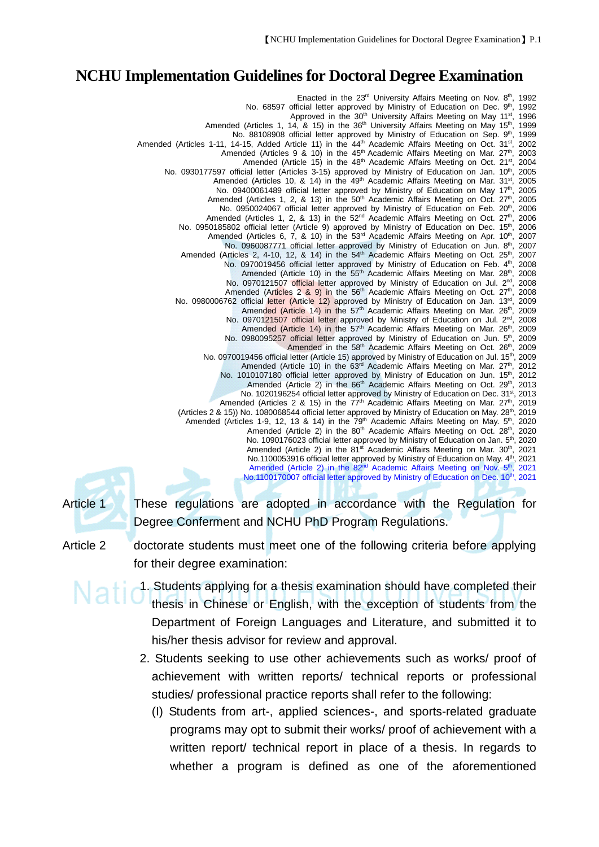## **NCHU Implementation Guidelines for Doctoral Degree Examination**

Enacted in the 23<sup>rd</sup> University Affairs Meeting on Nov. 8<sup>th</sup>, 1992 No. 68597 official letter approved by Ministry of Education on Dec. 9th, 1992 Approved in the  $30^{th}$  University Affairs Meeting on May  $11^{st}$ , 1996<br>14. & 15) in the  $36^{th}$  University Affairs Meeting on May  $15^{th}$ , 1999 Amended (Articles 1, 14, & 15) in the 36<sup>th</sup> University Affairs Meeting on May 15<sup>th</sup>, No. 88108908 official letter approved by Ministry of Education on Sep. 9<sup>th</sup>, 1999 Amended (Articles 1-11, 14-15, Added Article 11) in the 44<sup>th</sup> Academic Affairs Meeting on Oct. 31<sup>st</sup>, 2002<br>Amended (Articles 9 & 10) in the 45<sup>th</sup> Academic Affairs Meeting on Mar. 27<sup>th</sup>, 2003 Amended (Articles 9 & 10) in the 45<sup>th</sup> Academic Affairs Meeting on Mar. 27<sup>th</sup>, 2003 Amended (Article 15) in the 48<sup>th</sup> Academic Affairs Meeting on Oct. 21<sup>st</sup>, 2004 No. 0930177597 official letter (Articles 3-15) approved by Ministry of Education on Jan. 10<sup>th</sup>, 2005<br>Amended (Articles 10, & 14) in the 49<sup>th</sup> Academic Affairs Meeting on Mar. 31<sup>st</sup>, 2005 Amended (Articles 10,  $\&$  14) in the 49<sup>th</sup> Academic Affairs Meeting on Mar. 31<sup>st</sup>, No. 09400061489 official letter approved by Ministry of Education on May 17<sup>th</sup>, 2005 Amended (Articles 1, 2, & 13) in the  $50<sup>th</sup>$  Academic Affairs Meeting on Oct.  $27<sup>th</sup>$ , 2005<br>No. 0950024067 official letter approved by Ministry of Education on Feb.  $20<sup>th</sup>$ , 2006 No. 0950024067 official letter approved by Ministry of Education on Feb. 20<sup>th</sup>, Amended (Articles 1, 2, & 13) in the 52<sup>nd</sup> Academic Affairs Meeting on Oct. 27<sup>th</sup>, 2006 No. 0950185802 official letter (Article 9) approved by Ministry of Education on Dec. 15<sup>th</sup>, 2006 Amended (Articles 6, 7,  $\&$  10) in the 53<sup>rd</sup> Academic Affairs Meeting on Apr. 10<sup>th</sup>, 2007 No. 0960087771 official letter approved by Ministry of Education on Jun. 8th, 2007 Amended (Articles 2, 4-10, 12, & 14) in the 54<sup>th</sup> Academic Affairs Meeting on Oct. 25<sup>th</sup>, 2007 No. 0970019456 official letter approved by Ministry of Education on Feb. 4th, 2008 Amended (Article 10) in the  $55<sup>th</sup>$  Academic Affairs Meeting on Mar.  $28<sup>th</sup>$ , 2008 0970121507 official letter approved by Ministry of Education on Jul.  $2<sup>nd</sup>$ , 2008 No. 0970121507 official letter approved by Ministry of Education on Jul. 2<sup>nd</sup> Amended (Articles 2  $\frac{8}{9}$ ) in the 56<sup>th</sup> Academic Affairs Meeting on Oct. 27<sup>th</sup>, 2008<br>The strike and the 56<sup>th</sup> Academic Affairs Meeting on Oct. 27<sup>th</sup>, 2008 No. 0980006762 official letter (Article 12) approved by Ministry of Education on Jan. 13rd, Amended (Article 14) in the 57<sup>th</sup> Academic Affairs Meeting on Mar. 26<sup>th</sup>, 2009 No. 0970121507 official letter approved by Ministry of Education on Jul. 2<sup>nd</sup>, 2008 Amended (Article 14) in the 57<sup>th</sup> Academic Affairs Meeting on Mar. 26<sup>th</sup>, 2009<br>0980095257 official letter approved by Ministry of Education on Jun. 5<sup>th</sup>, 2009 No. 0980095257 official letter approved by Ministry of Education on Jun. 5<sup>th</sup>, 2009<br>Amended in the 58<sup>th</sup> Academic Affairs Meeting on Oct. 26<sup>th</sup>, 2009 Amended in the 58<sup>th</sup> Academic Affairs Meeting on Oct. 26<sup>th</sup>, No. 0970019456 official letter (Article 15) approved by Ministry of Education on Jul. 15<sup>th</sup>, 2009 Amended (Article 10) in the 63<sup>rd</sup> Academic Affairs Meeting on Mar. 27<sup>th</sup>, 2012 No. 1010107180 official letter approved by Ministry of Education on Jun. 15<sup>th</sup>, 2012<br>Amended (Article 2) in the 66<sup>th</sup> Academic Affairs Meeting on Oct. 29<sup>th</sup>, 2013 Amended (Article 2) in the  $66<sup>th</sup>$  Academic Affairs Meeting on Oct. 29<sup>th</sup> No. 1020196254 official letter approved by Ministry of Education on Dec. 31<sup>st</sup>, 2013<br>Ided (Articles 2 & 15) in the 77<sup>th</sup> Academic Affairs Meeting on Dar. 27<sup>th</sup>, 2019 Amended (Articles 2 & 15) in the  $77<sup>th</sup>$  Academic Affairs Meeting on Mar. 27<sup>th</sup>, (Articles 2 & 15)) No. 1080068544 official letter approved by Ministry of Education on May. 28<sup>th</sup>, 2019 Amended (Articles 1-9, 12, 13 & 14) in the  $79<sup>th</sup>$  Academic Affairs Meeting on May.  $5<sup>th</sup>$ , 2020 Amended (Article 2) in the 80<sup>th</sup> Academic Affairs Meeting on Oct. 28<sup>th</sup>, 2020 No. 1090176023 official letter approved by Ministry of Education on Jan. 5<sup>th</sup>, 2020 Amended (Article 2) in the 81<sup>st</sup> Academic Affairs Meeting on Mar. 30<sup>th</sup>, 2021 No.1100053916 official letter approved by Ministry of Education on May. 4<sup>th</sup>, 2021 Amended (Article 2) in the 82<sup>nd</sup> Academic Affairs Meeting on Nov. 5<sup>th</sup>, 2021 No.1100170007 official letter approved by Ministry of Education on Dec. 10<sup>th</sup>, 2021

Article 1 These regulations are adopted in accordance with the Regulation for Degree Conferment and NCHU PhD Program Regulations.

Article 2 doctorate students must meet one of the following criteria before applying for their degree examination:

- **National Students applying for a thesis examination should have completed their** thesis in Chinese or English, with the exception of students from the Department of Foreign Languages and Literature, and submitted it to his/her thesis advisor for review and approval.
	- 2. Students seeking to use other achievements such as works/ proof of achievement with written reports/ technical reports or professional studies/ professional practice reports shall refer to the following:
		- (I) Students from art-, applied sciences-, and sports-related graduate programs may opt to submit their works/ proof of achievement with a written report/ technical report in place of a thesis. In regards to whether a program is defined as one of the aforementioned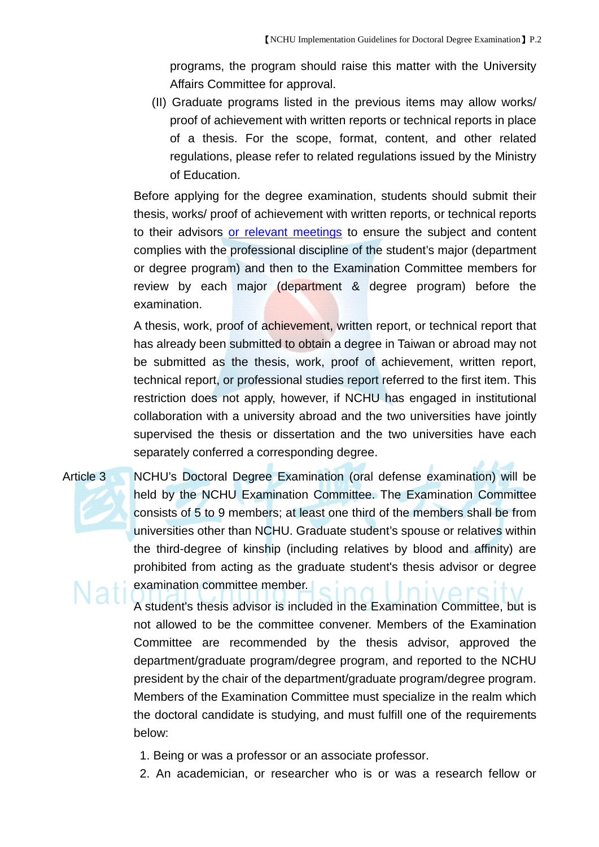programs, the program should raise this matter with the University Affairs Committee for approval.

(II) Graduate programs listed in the previous items may allow works/ proof of achievement with written reports or technical reports in place of a thesis. For the scope, format, content, and other related regulations, please refer to related regulations issued by the Ministry of Education.

Before applying for the degree examination, students should submit their thesis, works/ proof of achievement with written reports, or technical reports to their advisors or relevant meetings to ensure the subject and content complies with the professional discipline of the student's major (department or degree program) and then to the Examination Committee members for review by each major (department & degree program) before the examination.

A thesis, work, proof of achievement, written report, or technical report that has already been submitted to obtain a degree in Taiwan or abroad may not be submitted as the thesis, work, proof of achievement, written report, technical report, or professional studies report referred to the first item. This restriction does not apply, however, if NCHU has engaged in institutional collaboration with a university abroad and the two universities have jointly supervised the thesis or dissertation and the two universities have each separately conferred a corresponding degree.

Article 3 NCHU's Doctoral Degree Examination (oral defense examination) will be held by the NCHU Examination Committee. The Examination Committee consists of 5 to 9 members; at least one third of the members shall be from universities other than NCHU. Graduate student's spouse or relatives within the third-degree of kinship (including relatives by blood and affinity) are prohibited from acting as the graduate student's thesis advisor or degree examination committee member.

> A student's thesis advisor is included in the Examination Committee, but is not allowed to be the committee convener. Members of the Examination Committee are recommended by the thesis advisor, approved the department/graduate program/degree program, and reported to the NCHU president by the chair of the department/graduate program/degree program. Members of the Examination Committee must specialize in the realm which the doctoral candidate is studying, and must fulfill one of the requirements below:

- 1. Being or was a professor or an associate professor.
- 2. An academician, or researcher who is or was a research fellow or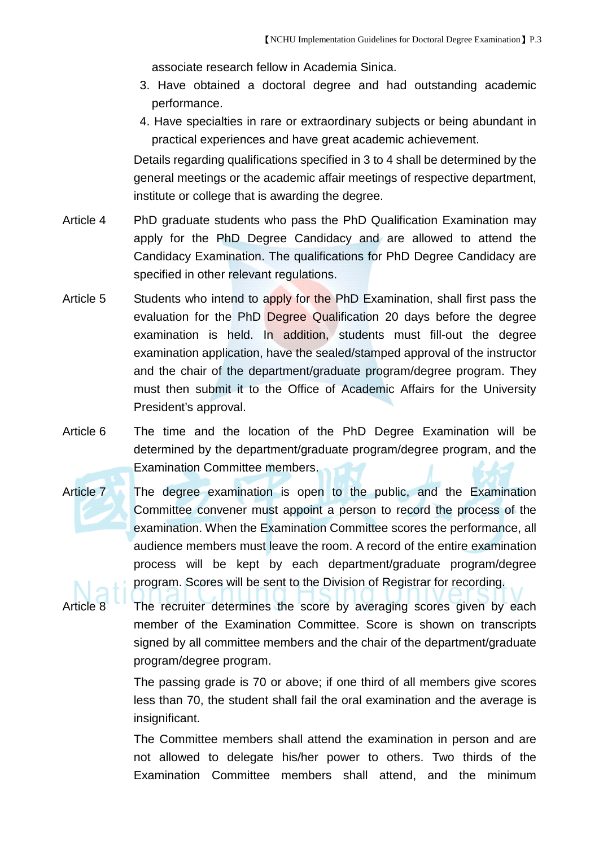associate research fellow in Academia Sinica.

- 3. Have obtained a doctoral degree and had outstanding academic performance.
- 4. Have specialties in rare or extraordinary subjects or being abundant in practical experiences and have great academic achievement.

Details regarding qualifications specified in 3 to 4 shall be determined by the general meetings or the academic affair meetings of respective department, institute or college that is awarding the degree.

- Article 4 PhD graduate students who pass the PhD Qualification Examination may apply for the PhD Degree Candidacy and are allowed to attend the Candidacy Examination. The qualifications for PhD Degree Candidacy are specified in other relevant regulations.
- Article 5 Students who intend to apply for the PhD Examination, shall first pass the evaluation for the PhD Degree Qualification 20 days before the degree examination is held. In addition, students must fill-out the degree examination application, have the sealed/stamped approval of the instructor and the chair of the department/graduate program/degree program. They must then submit it to the Office of Academic Affairs for the University President's approval.
- Article 6 The time and the location of the PhD Degree Examination will be determined by the department/graduate program/degree program, and the Examination Committee members.
- Article 7 The degree examination is open to the public, and the Examination Committee convener must appoint a person to record the process of the examination. When the Examination Committee scores the performance, all audience members must leave the room. A record of the entire examination process will be kept by each department/graduate program/degree program. Scores will be sent to the Division of Registrar for recording.

The recruiter determines the score by averaging scores given by each member of the Examination Committee. Score is shown on transcripts signed by all committee members and the chair of the department/graduate program/degree program.

The passing grade is 70 or above; if one third of all members give scores less than 70, the student shall fail the oral examination and the average is insignificant.

The Committee members shall attend the examination in person and are not allowed to delegate his/her power to others. Two thirds of the Examination Committee members shall attend, and the minimum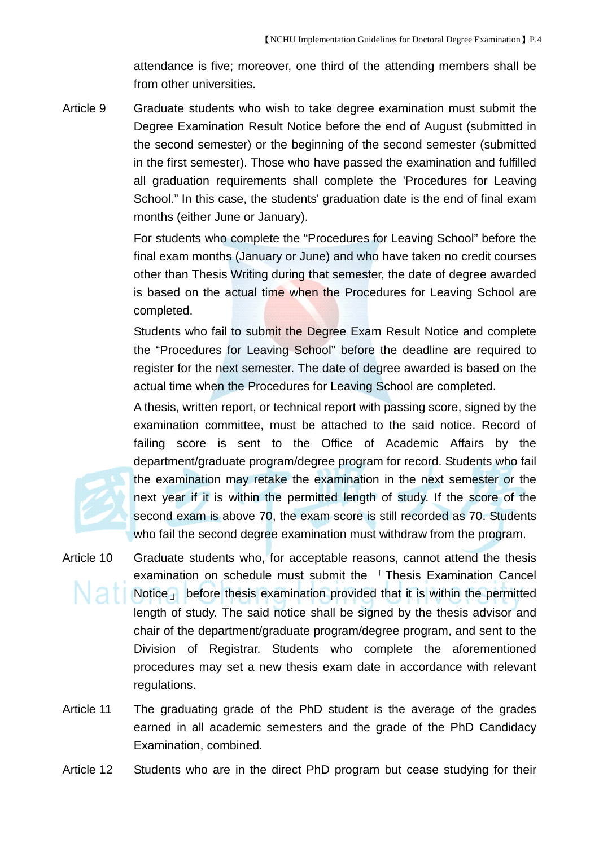attendance is five; moreover, one third of the attending members shall be from other universities.

Article 9 Graduate students who wish to take degree examination must submit the Degree Examination Result Notice before the end of August (submitted in the second semester) or the beginning of the second semester (submitted in the first semester). Those who have passed the examination and fulfilled all graduation requirements shall complete the 'Procedures for Leaving School." In this case, the students' graduation date is the end of final exam months (either June or January).

> For students who complete the "Procedures for Leaving School" before the final exam months (January or June) and who have taken no credit courses other than Thesis Writing during that semester, the date of degree awarded is based on the actual time when the Procedures for Leaving School are completed.

> Students who fail to submit the Degree Exam Result Notice and complete the "Procedures for Leaving School" before the deadline are required to register for the next semester. The date of degree awarded is based on the actual time when the Procedures for Leaving School are completed.

> A thesis, written report, or technical report with passing score, signed by the examination committee, must be attached to the said notice. Record of failing score is sent to the Office of Academic Affairs by the department/graduate program/degree program for record. Students who fail the examination may retake the examination in the next semester or the next year if it is within the permitted length of study. If the score of the second exam is above 70, the exam score is still recorded as 70. Students who fail the second degree examination must withdraw from the program.

- Article 10 Graduate students who, for acceptable reasons, cannot attend the thesis examination on schedule must submit the 「Thesis Examination Cancel Notice postume thesis examination provided that it is within the permitted length of study. The said notice shall be signed by the thesis advisor and chair of the department/graduate program/degree program, and sent to the Division of Registrar. Students who complete the aforementioned procedures may set a new thesis exam date in accordance with relevant regulations.
- Article 11 The graduating grade of the PhD student is the average of the grades earned in all academic semesters and the grade of the PhD Candidacy Examination, combined.
- Article 12 Students who are in the direct PhD program but cease studying for their